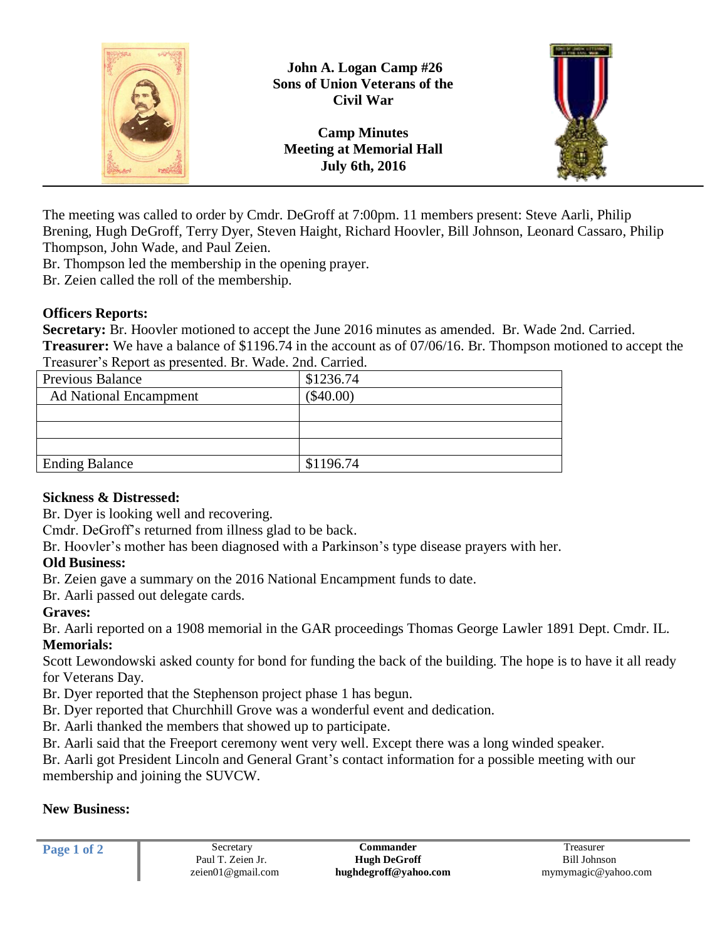

The meeting was called to order by Cmdr. DeGroff at 7:00pm. 11 members present: Steve Aarli, Philip Brening, Hugh DeGroff, Terry Dyer, Steven Haight, Richard Hoovler, Bill Johnson, Leonard Cassaro, Philip Thompson, John Wade, and Paul Zeien.

Br. Thompson led the membership in the opening prayer.

Br. Zeien called the roll of the membership.

#### **Officers Reports:**

**Secretary:** Br. Hoovler motioned to accept the June 2016 minutes as amended. Br. Wade 2nd. Carried. **Treasurer:** We have a balance of \$1196.74 in the account as of 07/06/16. Br. Thompson motioned to accept the Treasurer's Report as presented. Br. Wade. 2nd. Carried.

| $1.1$ who has $1.0$ and $1.0$ and $1.0$ and $1.0$ and $1.0$ and $1.0$ and $1.0$ and $1.0$ and $1.0$ and $1.0$ and $1.0$ and $1.0$ and $1.0$ and $1.0$ and $1.0$ and $1.0$ and $1.0$ and $1.0$ and $1.0$ and $1.0$ and $1.0$ a |             |
|-------------------------------------------------------------------------------------------------------------------------------------------------------------------------------------------------------------------------------|-------------|
| <b>Previous Balance</b>                                                                                                                                                                                                       | \$1236.74   |
| <b>Ad National Encampment</b>                                                                                                                                                                                                 | $(\$40.00)$ |
|                                                                                                                                                                                                                               |             |
|                                                                                                                                                                                                                               |             |
|                                                                                                                                                                                                                               |             |
| <b>Ending Balance</b>                                                                                                                                                                                                         | \$1196.74   |

#### **Sickness & Distressed:**

Br. Dyer is looking well and recovering.

Cmdr. DeGroff's returned from illness glad to be back.

Br. Hoovler's mother has been diagnosed with a Parkinson's type disease prayers with her.

# **Old Business:**

Br. Zeien gave a summary on the 2016 National Encampment funds to date.

Br. Aarli passed out delegate cards.

# **Graves:**

Br. Aarli reported on a 1908 memorial in the GAR proceedings Thomas George Lawler 1891 Dept. Cmdr. IL. **Memorials:**

Scott Lewondowski asked county for bond for funding the back of the building. The hope is to have it all ready for Veterans Day.

Br. Dyer reported that the Stephenson project phase 1 has begun.

Br. Dyer reported that Churchhill Grove was a wonderful event and dedication.

Br. Aarli thanked the members that showed up to participate.

Br. Aarli said that the Freeport ceremony went very well. Except there was a long winded speaker.

Br. Aarli got President Lincoln and General Grant's contact information for a possible meeting with our membership and joining the SUVCW.

# **New Business:**